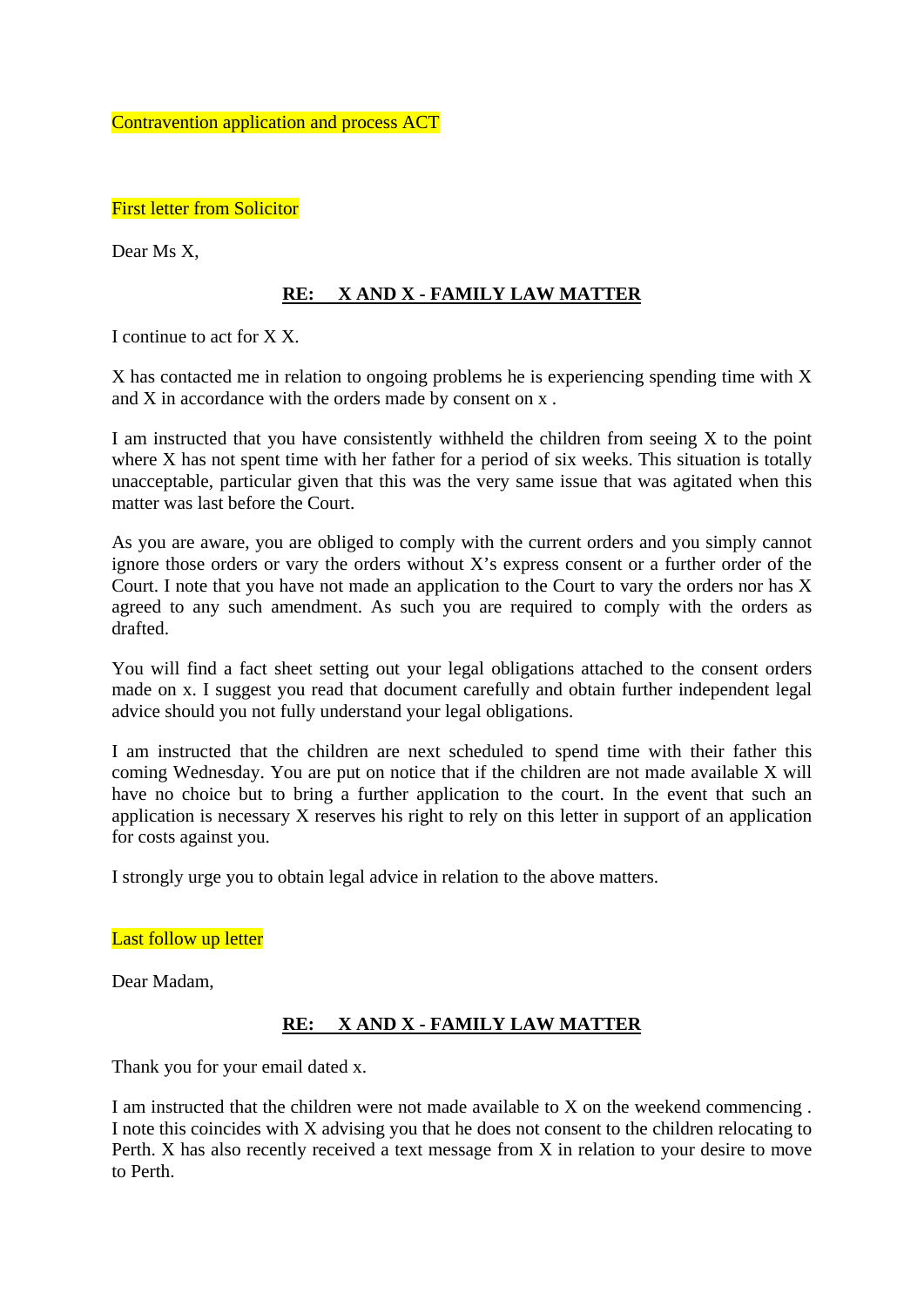Contravention application and process ACT

First letter from Solicitor

Dear Ms X,

### **RE: X AND X - FAMILY LAW MATTER**

I continue to act for X X.

X has contacted me in relation to ongoing problems he is experiencing spending time with X and X in accordance with the orders made by consent on x .

I am instructed that you have consistently withheld the children from seeing  $X$  to the point where X has not spent time with her father for a period of six weeks. This situation is totally unacceptable, particular given that this was the very same issue that was agitated when this matter was last before the Court.

As you are aware, you are obliged to comply with the current orders and you simply cannot ignore those orders or vary the orders without X's express consent or a further order of the Court. I note that you have not made an application to the Court to vary the orders nor has X agreed to any such amendment. As such you are required to comply with the orders as drafted.

You will find a fact sheet setting out your legal obligations attached to the consent orders made on x. I suggest you read that document carefully and obtain further independent legal advice should you not fully understand your legal obligations.

I am instructed that the children are next scheduled to spend time with their father this coming Wednesday. You are put on notice that if the children are not made available X will have no choice but to bring a further application to the court. In the event that such an application is necessary X reserves his right to rely on this letter in support of an application for costs against you.

I strongly urge you to obtain legal advice in relation to the above matters.

#### Last follow up letter

Dear Madam,

### **RE: X AND X - FAMILY LAW MATTER**

Thank you for your email dated x.

I am instructed that the children were not made available to X on the weekend commencing . I note this coincides with X advising you that he does not consent to the children relocating to Perth. X has also recently received a text message from X in relation to your desire to move to Perth.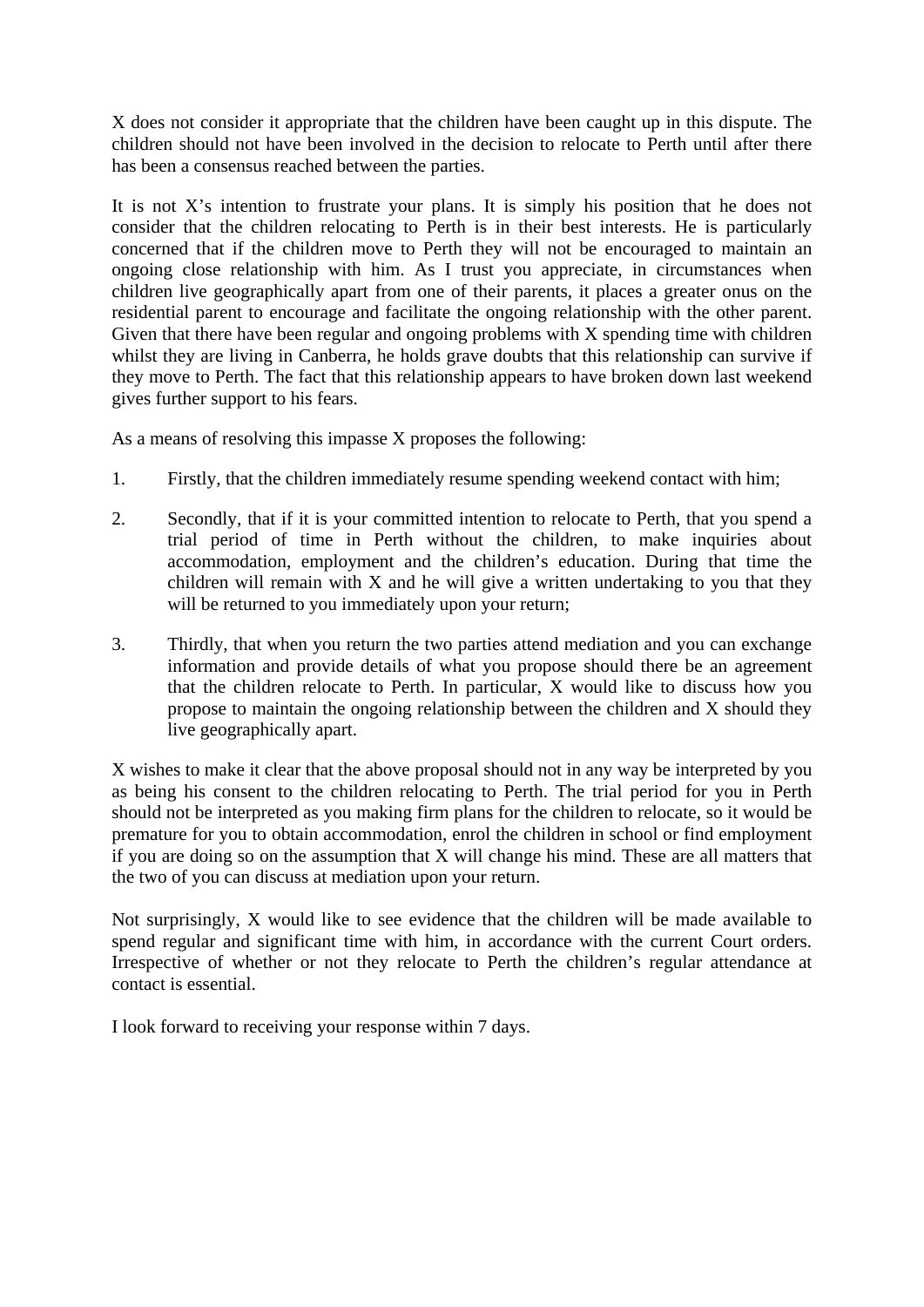X does not consider it appropriate that the children have been caught up in this dispute. The children should not have been involved in the decision to relocate to Perth until after there has been a consensus reached between the parties.

It is not X's intention to frustrate your plans. It is simply his position that he does not consider that the children relocating to Perth is in their best interests. He is particularly concerned that if the children move to Perth they will not be encouraged to maintain an ongoing close relationship with him. As I trust you appreciate, in circumstances when children live geographically apart from one of their parents, it places a greater onus on the residential parent to encourage and facilitate the ongoing relationship with the other parent. Given that there have been regular and ongoing problems with X spending time with children whilst they are living in Canberra, he holds grave doubts that this relationship can survive if they move to Perth. The fact that this relationship appears to have broken down last weekend gives further support to his fears.

As a means of resolving this impasse X proposes the following:

- 1. Firstly, that the children immediately resume spending weekend contact with him;
- 2. Secondly, that if it is your committed intention to relocate to Perth, that you spend a trial period of time in Perth without the children, to make inquiries about accommodation, employment and the children's education. During that time the children will remain with  $X$  and he will give a written undertaking to you that they will be returned to you immediately upon your return;
- 3. Thirdly, that when you return the two parties attend mediation and you can exchange information and provide details of what you propose should there be an agreement that the children relocate to Perth. In particular, X would like to discuss how you propose to maintain the ongoing relationship between the children and X should they live geographically apart.

X wishes to make it clear that the above proposal should not in any way be interpreted by you as being his consent to the children relocating to Perth. The trial period for you in Perth should not be interpreted as you making firm plans for the children to relocate, so it would be premature for you to obtain accommodation, enrol the children in school or find employment if you are doing so on the assumption that X will change his mind. These are all matters that the two of you can discuss at mediation upon your return.

Not surprisingly, X would like to see evidence that the children will be made available to spend regular and significant time with him, in accordance with the current Court orders. Irrespective of whether or not they relocate to Perth the children's regular attendance at contact is essential.

I look forward to receiving your response within 7 days.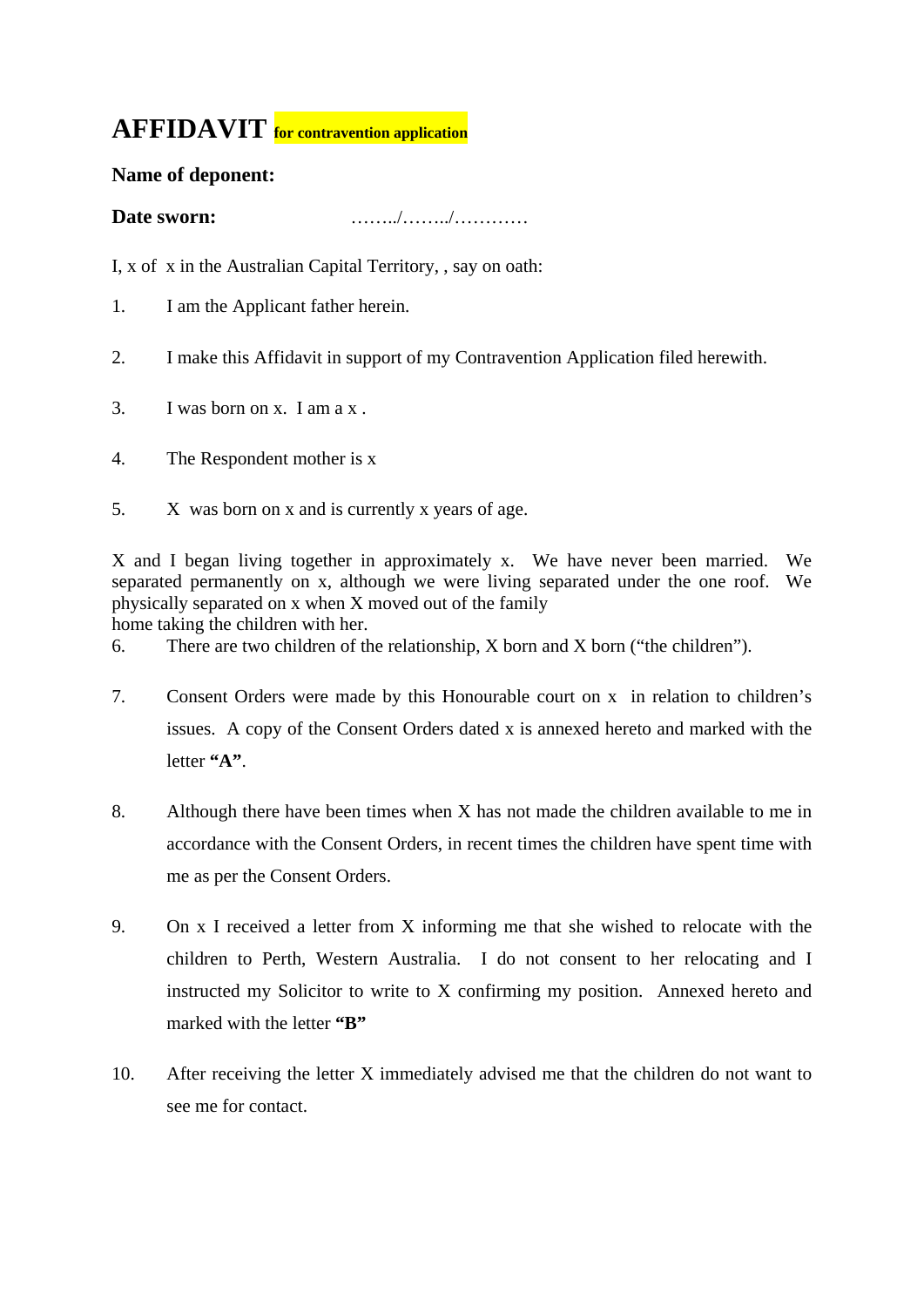# **AFFIDAVIT for contravention application**

## **Name of deponent:**

**Date sworn:** ……../……../…………

I, x of x in the Australian Capital Territory, , say on oath:

- 1. I am the Applicant father herein.
- 2. I make this Affidavit in support of my Contravention Application filed herewith.
- 3. I was born on x. I am a x .
- 4. The Respondent mother is x
- 5. X was born on x and is currently x years of age.

X and I began living together in approximately x. We have never been married. We separated permanently on x, although we were living separated under the one roof. We physically separated on x when X moved out of the family

home taking the children with her.

6. There are two children of the relationship, X born and X born ("the children").

- 7. Consent Orders were made by this Honourable court on x in relation to children's issues. A copy of the Consent Orders dated x is annexed hereto and marked with the letter **"A"**.
- 8. Although there have been times when X has not made the children available to me in accordance with the Consent Orders, in recent times the children have spent time with me as per the Consent Orders.
- 9. On x I received a letter from X informing me that she wished to relocate with the children to Perth, Western Australia. I do not consent to her relocating and I instructed my Solicitor to write to X confirming my position. Annexed hereto and marked with the letter "B"
- 10. After receiving the letter X immediately advised me that the children do not want to see me for contact.